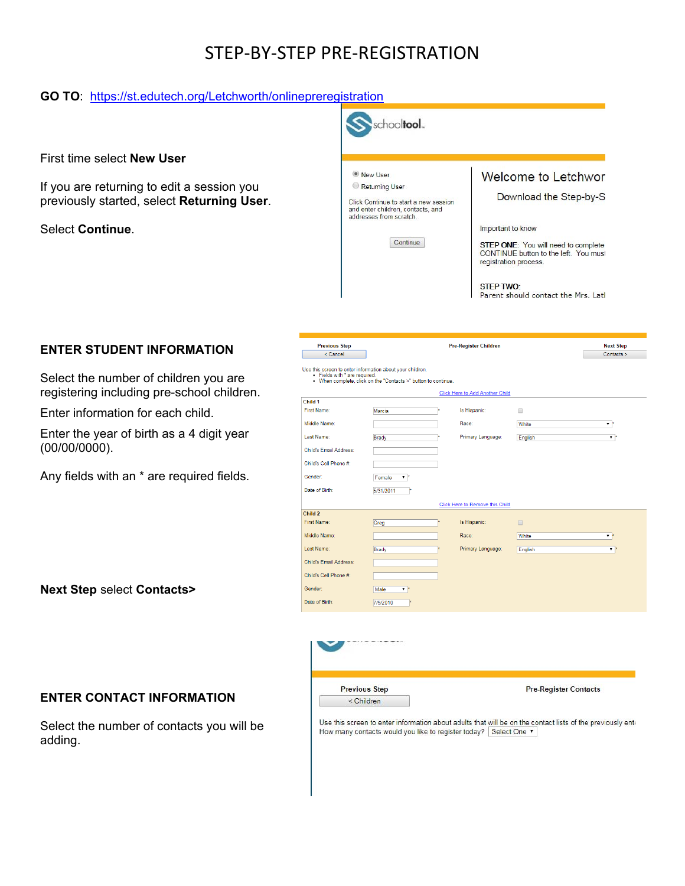# STEP‐BY‐STEP PRE‐REGISTRATION

#### **GO TO**: https://st.edutech.org/Letchworth/onlinepreregistration

First time select **New User**

If you are returning to edit a session you previously started, select **Returning User**.

Select **Continue**.



## **ENTER STUDENT INFORMATION**

Select the number of children you are registering including pre-school children.

Enter information for each child.

Enter the year of birth as a 4 digit year (00/00/0000).

Any fields with an \* are required fields.

**Next Step** select **Contacts>**

## **ENTER CONTACT INFORMATION**

Select the number of contacts you will be adding.

| <b>Previous Step</b>                                                                       |                                                                | <b>Pre-Register Children</b>           |         | <b>Next Step</b>   |
|--------------------------------------------------------------------------------------------|----------------------------------------------------------------|----------------------------------------|---------|--------------------|
| < Cancel                                                                                   |                                                                |                                        |         | Contacts >         |
| Use this screen to enter information about your children.<br>· Fields with * are required. | . When complete, click on the "Contacts >" button to continue. | <b>Click Here to Add Another Child</b> |         |                    |
| Child 1                                                                                    |                                                                |                                        |         |                    |
| <b>First Name:</b>                                                                         | Marcia                                                         | Is Hispanic:                           | $\Box$  |                    |
| Middle Name:                                                                               |                                                                | Race:                                  | White   | $\mathbf{v}$ .     |
| Last Name:                                                                                 | <b>Brady</b>                                                   | Primary Language:                      | English | $\pmb{\mathrm{v}}$ |
| Child's Email Address:                                                                     |                                                                |                                        |         |                    |
| Child's Cell Phone #:                                                                      |                                                                |                                        |         |                    |
| Gender:                                                                                    | Female<br>۷.                                                   |                                        |         |                    |
| Date of Birth:                                                                             | 5/31/2011                                                      |                                        |         |                    |
|                                                                                            |                                                                | Click Here to Remove this Child        |         |                    |
| Child <sub>2</sub>                                                                         |                                                                |                                        |         |                    |
| First Name:                                                                                | Greg                                                           | Is Hispanic:                           | $\Box$  |                    |
| Middle Name:                                                                               |                                                                | Race:                                  | White   | $\mathbf{v}$       |
| Last Name:                                                                                 | Brady                                                          | Primary Language:                      | English | $\mathbf{v}$ .     |
| Child's Email Address:                                                                     |                                                                |                                        |         |                    |
| Child's Cell Phone #:                                                                      |                                                                |                                        |         |                    |
| Gender:                                                                                    | Male<br>$\mathbf{v}$                                           |                                        |         |                    |
| Date of Birth:                                                                             | 7/9/2010                                                       |                                        |         |                    |
|                                                                                            |                                                                |                                        |         |                    |
|                                                                                            |                                                                |                                        |         |                    |



Use this screen to enter information about adults that will be on the contact lists of the previously ente How many contacts would you like to register today? Select One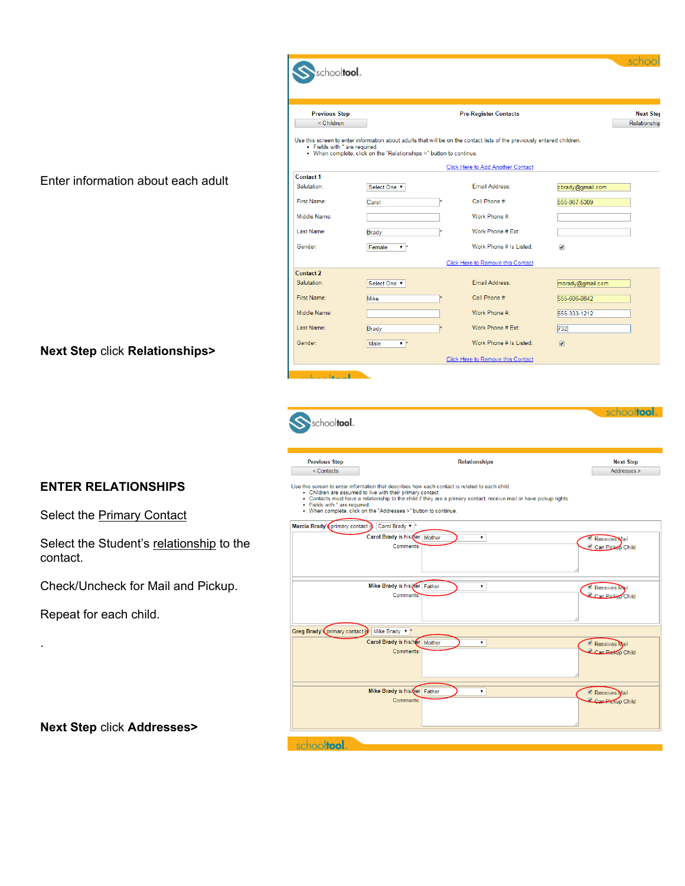| <b>Previous Step</b><br>< Children |                                                                                                                                                                                                                                 | <b>Pre-Register Contacts</b>                                                                                            | Relationship                                        |
|------------------------------------|---------------------------------------------------------------------------------------------------------------------------------------------------------------------------------------------------------------------------------|-------------------------------------------------------------------------------------------------------------------------|-----------------------------------------------------|
| • Fields with * are required.      |                                                                                                                                                                                                                                 | Use this screen to enter information about adults that will be on the contact lists of the previously entered children. |                                                     |
|                                    | • When complete, click on the "Relationships >" button to continue.                                                                                                                                                             |                                                                                                                         |                                                     |
|                                    |                                                                                                                                                                                                                                 | <b>Click Here to Add Another Contact</b>                                                                                |                                                     |
| <b>Contact 1</b><br>Salutation:    | Select One                                                                                                                                                                                                                      | <b>Email Address:</b>                                                                                                   | cbrady@gmail.com                                    |
| First Name:                        | Carol                                                                                                                                                                                                                           | Cell Phone #:                                                                                                           | 555-867-5309                                        |
| Middle Name:                       |                                                                                                                                                                                                                                 | Work Phone #:                                                                                                           |                                                     |
|                                    |                                                                                                                                                                                                                                 |                                                                                                                         |                                                     |
| Last Name:                         | <b>Brady</b>                                                                                                                                                                                                                    | Work Phone # Ext:                                                                                                       |                                                     |
| Gender:                            | Female<br>$\mathbf{v}$                                                                                                                                                                                                          | Work Phone # Is Listed:                                                                                                 | $\overline{\mathcal{L}}$                            |
|                                    |                                                                                                                                                                                                                                 | Click Here to Remove this Contact                                                                                       |                                                     |
| <b>Contact 2</b><br>Salutation:    |                                                                                                                                                                                                                                 | Email Address:                                                                                                          |                                                     |
|                                    | Select One                                                                                                                                                                                                                      |                                                                                                                         | mbrady@gmail.com                                    |
| First Name:                        | Mike                                                                                                                                                                                                                            | Cell Phone #:                                                                                                           | 555-606-0842                                        |
| Middle Name:                       |                                                                                                                                                                                                                                 | Work Phone #:                                                                                                           | 555-333-1212                                        |
| Last Name:                         | Brady                                                                                                                                                                                                                           | Work Phone # Ext:                                                                                                       | 732                                                 |
| Gender:                            | Male<br>$\overline{\phantom{a}}$                                                                                                                                                                                                | Work Phone # Is Listed:                                                                                                 | $\sqrt{2}$                                          |
|                                    |                                                                                                                                                                                                                                 |                                                                                                                         |                                                     |
| schooltool.                        |                                                                                                                                                                                                                                 | Click Here to Remove this Contact                                                                                       |                                                     |
|                                    |                                                                                                                                                                                                                                 |                                                                                                                         | schooltool                                          |
| <b>Previous Step</b><br>< Contacts |                                                                                                                                                                                                                                 | <b>Relationships</b>                                                                                                    |                                                     |
| • Fields with * are required.      | Use this screen to enter information that describes how each contact is related to each child.<br>• Children are assumed to live with their primary contact.<br>• When complete, click on the "Addresses >" button to continue. | . Contacts must have a relationship to the child if they are a primary contact, receive mail or have pickup rights.     |                                                     |
|                                    | Marcia Brady' (primary contact i) Carol Brady ▼ *                                                                                                                                                                               |                                                                                                                         |                                                     |
|                                    | Carol Brady is his/ner Mother<br>Comments:                                                                                                                                                                                      | $\pmb{\mathrm{v}}$                                                                                                      | Receives Mail                                       |
|                                    |                                                                                                                                                                                                                                 |                                                                                                                         | <b>Next Step</b><br>Addresses ><br>Can Pickep Child |
|                                    | Mike Brady is his/ <b>Mer</b> Father                                                                                                                                                                                            | ۷                                                                                                                       | Receives Mail                                       |
|                                    | Comments.                                                                                                                                                                                                                       |                                                                                                                         |                                                     |
|                                    |                                                                                                                                                                                                                                 |                                                                                                                         |                                                     |
|                                    | Greg Brady's primary contact is Mike Brady v <sup>*</sup>                                                                                                                                                                       |                                                                                                                         |                                                     |
|                                    | Carol Brady is his/her Mother<br>Comments:                                                                                                                                                                                      | $\pmb{\mathrm{v}}$                                                                                                      | Receives Mail                                       |
|                                    |                                                                                                                                                                                                                                 |                                                                                                                         | Can Pickep Child<br>Can Piekup Child                |
|                                    |                                                                                                                                                                                                                                 |                                                                                                                         |                                                     |
|                                    | Mike Brady is his/ner Father<br>Comments:                                                                                                                                                                                       | ۷.                                                                                                                      | Receives Mail<br>Can Pickup Child                   |

Enter information about each ad

#### **Next Step** click **Relationships>**

# **ENTER RELATIONSHIPS**

Select the **Primary Contact** 

Select the Student's relationship contact.

Check/Uncheck for Mail and Pic

Repeat for each child.

.

**Next Step** click **Addresses>**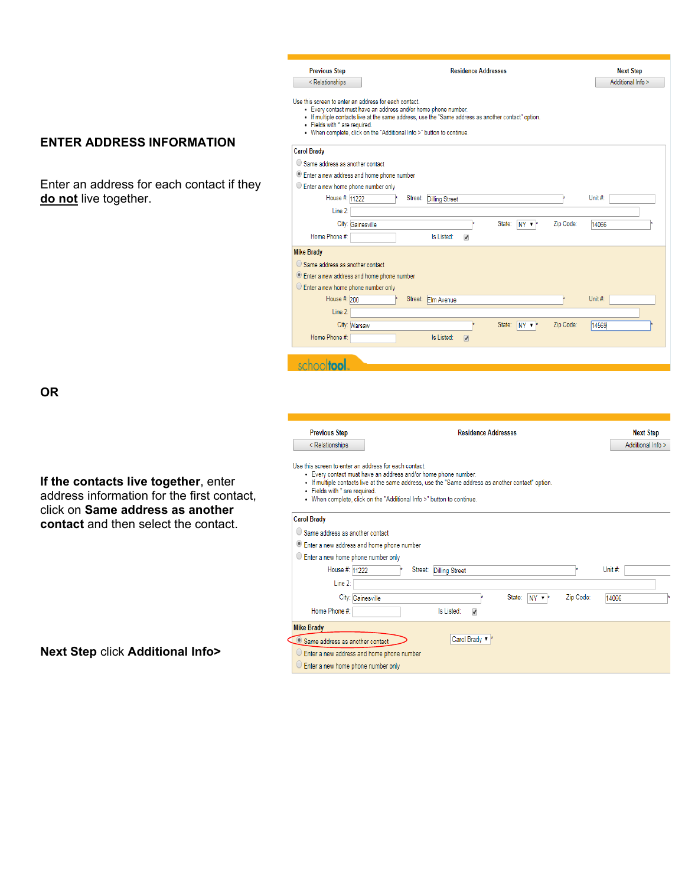#### **ENTER ADDRESS INFORMATION**

Enter an address for each contact if they **do not** live together.

| City: Gainesville                                |                                    | State: |
|--------------------------------------------------|------------------------------------|--------|
| Home Phone #:                                    | Is Listed:<br>$\blacktriangledown$ |        |
| <b>Mike Brady</b>                                |                                    |        |
| $\bigcirc$ Same address as another contact       |                                    |        |
| <b>Enter a new address and home phone number</b> |                                    |        |
| C Enter a new home phone number only             |                                    |        |
| House #: 200<br>Street: Elm Avenue               |                                    |        |
| Line 2:                                          |                                    |        |
| City: Warsaw                                     |                                    | State: |
| Home Phone #:                                    | Is Listed:<br>$\sqrt{2}$           |        |
|                                                  |                                    |        |
| <b>Itool</b><br>SC                               |                                    |        |
|                                                  |                                    |        |
|                                                  |                                    |        |
|                                                  |                                    |        |
|                                                  |                                    |        |
|                                                  |                                    |        |
| <b>Previous Step</b>                             | <b>Residence Addresses</b>         |        |

**Previous Step** 

<Relationships

**Carol Brady** 

· Fields with \* are required.

 $\bigcirc$  Same address as another contact Enter a new address and home phone number  $\bigcirc$  Enter a new home phone number only House #: 11222

Line 2:  $\sqrt{ }$ 

Use this screen to enter an address for each contact.

. When complete, click on the "Additional Info >" button to continue.

**If the contacts live together**, enter address information for the first contact, click on **Same address as another contact** and then select the contact.

**OR** 

Use this screen to enter an address for each contact.

- · Every contact must have an address and/or home phone number.
- . If multiple contacts live at the same address, use the "Same address as another contact" option.
- · Fields with \* are required.

< Relationships

. When complete, click on the "Additional Info >" button to continue.

| <b>Carol Diauy</b>                                 |           |         |  |
|----------------------------------------------------|-----------|---------|--|
| $\bigcirc$ Same address as another contact         |           |         |  |
| <b>Enter a new address and home phone number</b>   |           |         |  |
| $\circ$ Enter a new home phone number only         |           |         |  |
| House #: 11222<br>Street:<br><b>Dilling Street</b> |           | Unit #: |  |
| Line 2:                                            |           |         |  |
| State:<br>City: Gainesville<br>$NY \rightarrow$    | Zip Code: | 14066   |  |
| Home Phone #:<br>Is Listed:<br>✔                   |           |         |  |
| <b>Mike Brady</b>                                  |           |         |  |
| Carol Brady v<br>Same address as another contact   |           |         |  |
| $\circ$ Enter a new address and home phone number  |           |         |  |
| $\circ$ Enter a new home phone number only         |           |         |  |

**Residence Addresses** 

State: NY \*\*

 $NY$   $\rightarrow$ 

• Every contact must have an address and/or home phone number.<br>• If multiple contacts live at the same address, use the "Same address as another contact" option.

Street: Dilling Street

**Next Step** 

Additional Info >

Unit #:

14066

Unit #:

14569

**Next Step** Additional Info >

Zip Code:

Zip Code:

**Next Step** click **Additional Info>**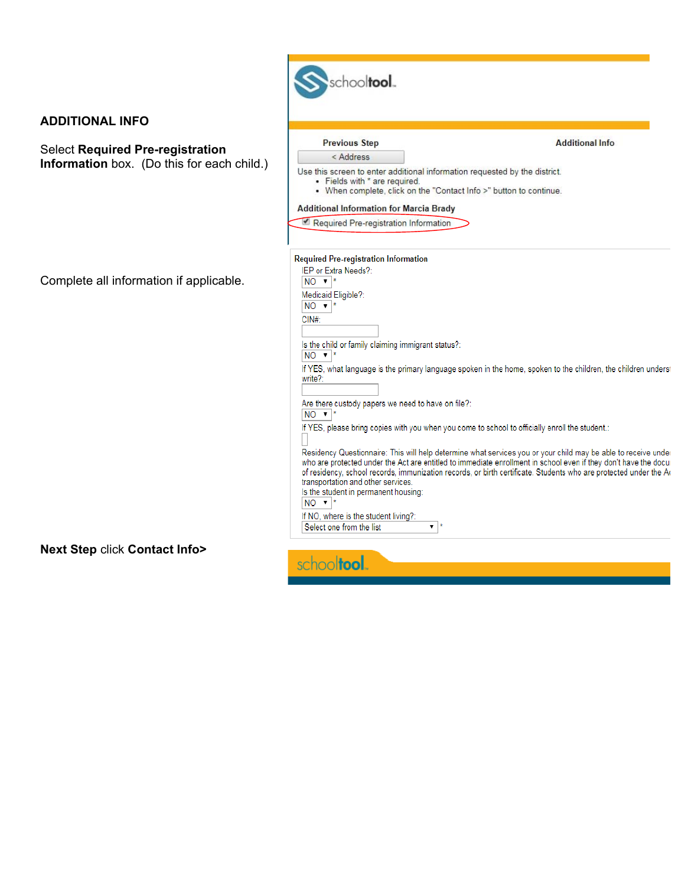| <b>ADDITIONAL INFO</b>                     |                                                                                                                                                                                                |                                                                                                                                                                                                                                    |  |  |
|--------------------------------------------|------------------------------------------------------------------------------------------------------------------------------------------------------------------------------------------------|------------------------------------------------------------------------------------------------------------------------------------------------------------------------------------------------------------------------------------|--|--|
| <b>Select Required Pre-registration</b>    | <b>Previous Step</b>                                                                                                                                                                           | <b>Additional Info</b>                                                                                                                                                                                                             |  |  |
| Information box. (Do this for each child.) | < Address<br>Use this screen to enter additional information requested by the district.<br>• Fields with * are required.<br>• When complete, click on the "Contact Info >" button to continue. |                                                                                                                                                                                                                                    |  |  |
|                                            | <b>Additional Information for Marcia Brady</b>                                                                                                                                                 |                                                                                                                                                                                                                                    |  |  |
|                                            | Required Pre-registration Information                                                                                                                                                          |                                                                                                                                                                                                                                    |  |  |
|                                            | <b>Required Pre-registration Information</b>                                                                                                                                                   |                                                                                                                                                                                                                                    |  |  |
| Complete all information if applicable.    | IEP or Extra Needs?:<br>$NO$ $\blacktriangleright$ $\blacktriangleright$                                                                                                                       |                                                                                                                                                                                                                                    |  |  |
|                                            | Medicaid Eligible?:                                                                                                                                                                            |                                                                                                                                                                                                                                    |  |  |
|                                            | $NO \rvert^*$                                                                                                                                                                                  |                                                                                                                                                                                                                                    |  |  |
|                                            | CIN#                                                                                                                                                                                           |                                                                                                                                                                                                                                    |  |  |
|                                            | Is the child or family claiming immigrant status?:<br>$NO$ $\blacktriangledown$ $ $ *                                                                                                          |                                                                                                                                                                                                                                    |  |  |
|                                            | write?:                                                                                                                                                                                        | If YES, what language is the primary language spoken in the home, spoken to the children, the children underst                                                                                                                     |  |  |
|                                            |                                                                                                                                                                                                |                                                                                                                                                                                                                                    |  |  |
|                                            | Are there custody papers we need to have on file?:<br>$NO \times$                                                                                                                              |                                                                                                                                                                                                                                    |  |  |
|                                            | If YES, please bring copies with you when you come to school to officially enroll the student.:                                                                                                |                                                                                                                                                                                                                                    |  |  |
|                                            |                                                                                                                                                                                                | Residency Questionnaire: This will help determine what services you or your child may be able to receive under<br>who are protected under the Act are entitled to immediate enrollment in school even if they don't have the docur |  |  |
|                                            | transportation and other services.                                                                                                                                                             | of residency, school records, immunization records, or birth certificate. Students who are protected under the Ac                                                                                                                  |  |  |
|                                            | Is the student in permanent housing:<br>$NO \cdot$                                                                                                                                             |                                                                                                                                                                                                                                    |  |  |
|                                            | If NO, where is the student living?:                                                                                                                                                           |                                                                                                                                                                                                                                    |  |  |
|                                            | Select one from the list<br>$\mathbf{v}$ $\mathbf{r}$                                                                                                                                          |                                                                                                                                                                                                                                    |  |  |

ı